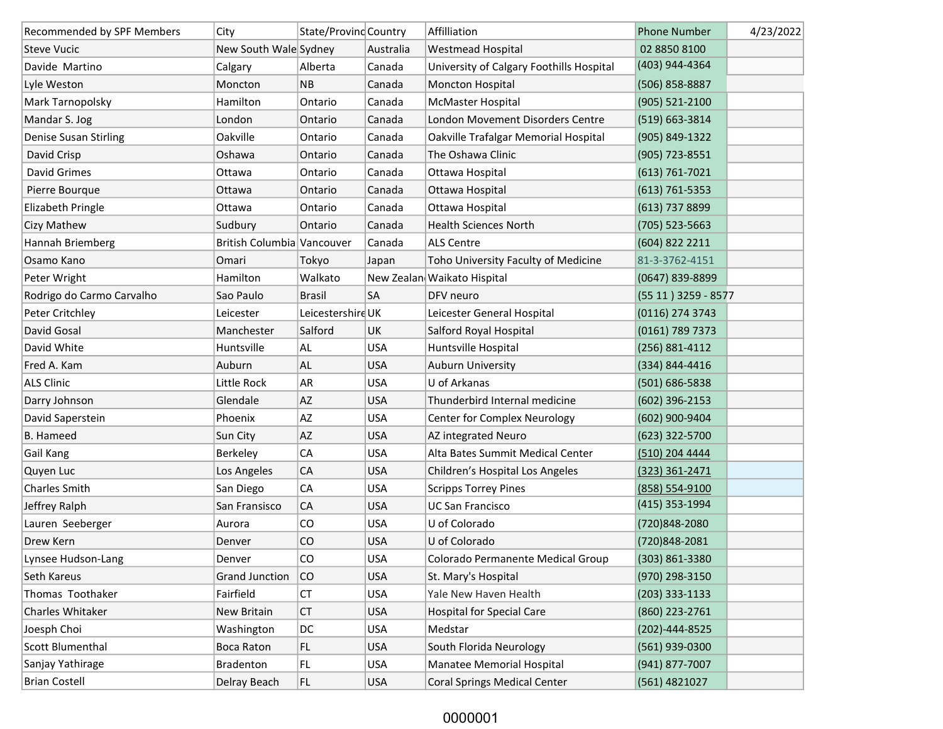| Recommended by SPF Members | City                       | State/Provinc Country |            | Affilliation                             | <b>Phone Number</b>  | 4/23/2022 |
|----------------------------|----------------------------|-----------------------|------------|------------------------------------------|----------------------|-----------|
| <b>Steve Vucic</b>         | New South Wale Sydney      |                       | Australia  | <b>Westmead Hospital</b>                 | 02 8850 8100         |           |
| Davide Martino             | Calgary                    | Alberta               | Canada     | University of Calgary Foothills Hospital | (403) 944-4364       |           |
| Lyle Weston                | Moncton                    | <b>NB</b>             | Canada     | <b>Moncton Hospital</b>                  | (506) 858-8887       |           |
| Mark Tarnopolsky           | Hamilton                   | Ontario               | Canada     | McMaster Hospital                        | (905) 521-2100       |           |
| Mandar S. Jog              | London                     | Ontario               | Canada     | London Movement Disorders Centre         | (519) 663-3814       |           |
| Denise Susan Stirling      | Oakville                   | Ontario               | Canada     | Oakville Trafalgar Memorial Hospital     | (905) 849-1322       |           |
| David Crisp                | Oshawa                     | Ontario               | Canada     | The Oshawa Clinic                        | (905) 723-8551       |           |
| David Grimes               | Ottawa                     | Ontario               | Canada     | Ottawa Hospital                          | $(613) 761 - 7021$   |           |
| Pierre Bourque             | Ottawa                     | Ontario               | Canada     | Ottawa Hospital                          | $(613) 761 - 5353$   |           |
| Elizabeth Pringle          | Ottawa                     | Ontario               | Canada     | Ottawa Hospital                          | (613) 737 8899       |           |
| Cizy Mathew                | Sudbury                    | Ontario               | Canada     | <b>Health Sciences North</b>             | $(705)$ 523-5663     |           |
| Hannah Briemberg           | British Columbia Vancouver |                       | Canada     | <b>ALS Centre</b>                        | (604) 822 2211       |           |
| Osamo Kano                 | Omari                      | Tokyo                 | Japan      | Toho University Faculty of Medicine      | 81-3-3762-4151       |           |
| Peter Wright               | Hamilton                   | Walkato               |            | New Zealan Waikato Hispital              | (0647) 839-8899      |           |
| Rodrigo do Carmo Carvalho  | Sao Paulo                  | <b>Brasil</b>         | SA         | DFV neuro                                | (55 11) 3259 - 8577  |           |
| Peter Critchley            | Leicester                  | Leicestershire UK     |            | Leicester General Hospital               | (0116) 274 3743      |           |
| David Gosal                | Manchester                 | Salford               | <b>UK</b>  | Salford Royal Hospital                   | (0161) 789 7373      |           |
| David White                | Huntsville                 | AL                    | <b>USA</b> | Huntsville Hospital                      | (256) 881-4112       |           |
| Fred A. Kam                | Auburn                     | AL                    | <b>USA</b> | Auburn University                        | (334) 844-4416       |           |
| <b>ALS Clinic</b>          | Little Rock                | AR                    | <b>USA</b> | U of Arkanas                             | (501) 686-5838       |           |
| Darry Johnson              | Glendale                   | AZ                    | <b>USA</b> | Thunderbird Internal medicine            | $(602)$ 396-2153     |           |
| David Saperstein           | Phoenix                    | AZ                    | <b>USA</b> | Center for Complex Neurology             | (602) 900-9404       |           |
| <b>B.</b> Hameed           | Sun City                   | AZ                    | <b>USA</b> | AZ integrated Neuro                      | (623) 322-5700       |           |
| Gail Kang                  | Berkeley                   | CA                    | <b>USA</b> | Alta Bates Summit Medical Center         | (510) 204 4444       |           |
| Quyen Luc                  | Los Angeles                | CA                    | <b>USA</b> | Children's Hospital Los Angeles          | $(323)$ 361-2471     |           |
| <b>Charles Smith</b>       | San Diego                  | CA                    | <b>USA</b> | <b>Scripps Torrey Pines</b>              | (858) 554-9100       |           |
| Jeffrey Ralph              | San Fransisco              | CA                    | <b>USA</b> | <b>UC San Francisco</b>                  | (415) 353-1994       |           |
| Lauren Seeberger           | Aurora                     | CO                    | <b>USA</b> | U of Colorado                            | (720)848-2080        |           |
| Drew Kern                  | Denver                     | CO                    | <b>USA</b> | U of Colorado                            | (720)848-2081        |           |
| Lynsee Hudson-Lang         | Denver                     | CO                    | <b>USA</b> | Colorado Permanente Medical Group        | (303) 861-3380       |           |
| Seth Kareus                | <b>Grand Junction</b>      | CO                    | <b>USA</b> | St. Mary's Hospital                      | (970) 298-3150       |           |
| Thomas Toothaker           | Fairfield                  | СT                    | <b>USA</b> | Yale New Haven Health                    | (203) 333-1133       |           |
| Charles Whitaker           | New Britain                | <b>CT</b>             | <b>USA</b> | <b>Hospital for Special Care</b>         | (860) 223-2761       |           |
| Joesph Choi                | Washington                 | DC                    | USA        | Medstar                                  | $(202) - 444 - 8525$ |           |
| Scott Blumenthal           | Boca Raton                 | FL.                   | <b>USA</b> | South Florida Neurology                  | (561) 939-0300       |           |
| Sanjay Yathirage           | <b>Bradenton</b>           | FL.                   | <b>USA</b> | Manatee Memorial Hospital                | (941) 877-7007       |           |
| <b>Brian Costell</b>       | Delray Beach               | FL.                   | <b>USA</b> | <b>Coral Springs Medical Center</b>      | (561) 4821027        |           |

## 0000001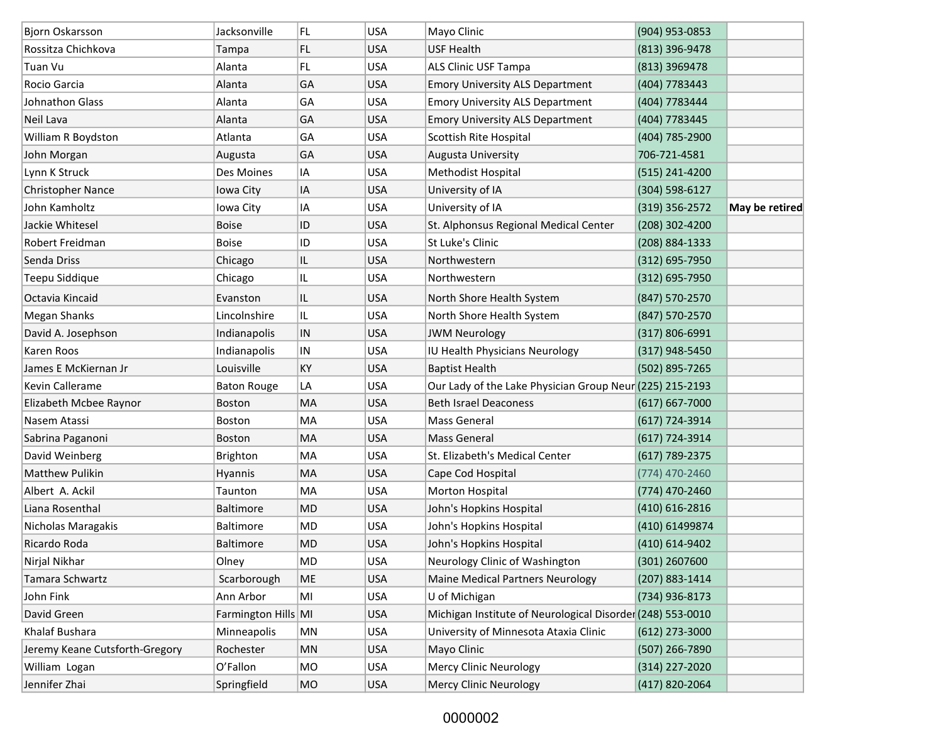| Bjorn Oskarsson                | Jacksonville        | FL.        | <b>USA</b> | Mayo Clinic                                                | (904) 953-0853     |                |
|--------------------------------|---------------------|------------|------------|------------------------------------------------------------|--------------------|----------------|
| Rossitza Chichkova             | Tampa               | FL.        | <b>USA</b> | <b>USF Health</b>                                          | (813) 396-9478     |                |
| Tuan Vu                        | Alanta              | FL.        | <b>USA</b> | ALS Clinic USF Tampa                                       | (813) 3969478      |                |
| Rocio Garcia                   | Alanta              | GA         | <b>USA</b> | <b>Emory University ALS Department</b>                     | (404) 7783443      |                |
| Johnathon Glass                | Alanta              | GA         | <b>USA</b> | <b>Emory University ALS Department</b>                     | (404) 7783444      |                |
| Neil Lava                      | Alanta              | GA         | <b>USA</b> | <b>Emory University ALS Department</b>                     | (404) 7783445      |                |
| William R Boydston             | Atlanta             | GA         | <b>USA</b> | Scottish Rite Hospital                                     | (404) 785-2900     |                |
| John Morgan                    | Augusta             | GA         | <b>USA</b> | Augusta University                                         | 706-721-4581       |                |
| Lynn K Struck                  | Des Moines          | IA         | <b>USA</b> | Methodist Hospital                                         | (515) 241-4200     |                |
| Christopher Nance              | Iowa City           | IA         | <b>USA</b> | University of IA                                           | (304) 598-6127     |                |
| John Kamholtz                  | Iowa City           | IA         | <b>USA</b> | University of IA                                           | $(319)$ 356-2572   | May be retired |
| Jackie Whitesel                | <b>Boise</b>        | ID         | <b>USA</b> | St. Alphonsus Regional Medical Center                      | (208) 302-4200     |                |
| Robert Freidman                | <b>Boise</b>        | ID         | <b>USA</b> | St Luke's Clinic                                           | (208) 884-1333     |                |
| Senda Driss                    | Chicago             | IL         | <b>USA</b> | Northwestern                                               | $(312) 695 - 7950$ |                |
| Teepu Siddique                 | Chicago             | IL         | <b>USA</b> | Northwestern                                               | $(312) 695 - 7950$ |                |
| Octavia Kincaid                | Evanston            | IL         | <b>USA</b> | North Shore Health System                                  | (847) 570-2570     |                |
| Megan Shanks                   | Lincolnshire        | IL.        | <b>USA</b> | North Shore Health System                                  | (847) 570-2570     |                |
| David A. Josephson             | Indianapolis        | ${\sf IN}$ | <b>USA</b> | <b>JWM Neurology</b>                                       | $(317) 806 - 6991$ |                |
| Karen Roos                     | Indianapolis        | IN         | <b>USA</b> | IU Health Physicians Neurology                             | (317) 948-5450     |                |
| James E McKiernan Jr           | Louisville          | KY         | <b>USA</b> | <b>Baptist Health</b>                                      | (502) 895-7265     |                |
| Kevin Callerame                | <b>Baton Rouge</b>  | LA         | <b>USA</b> | Our Lady of the Lake Physician Group Neur (225) 215-2193   |                    |                |
| Elizabeth Mcbee Raynor         | <b>Boston</b>       | MA         | <b>USA</b> | <b>Beth Israel Deaconess</b>                               | $(617)$ 667-7000   |                |
| Nasem Atassi                   | Boston              | MA         | <b>USA</b> | Mass General                                               | $(617)$ 724-3914   |                |
| Sabrina Paganoni               | <b>Boston</b>       | MA         | <b>USA</b> | <b>Mass General</b>                                        | $(617)$ 724-3914   |                |
| David Weinberg                 | <b>Brighton</b>     | MA         | <b>USA</b> | St. Elizabeth's Medical Center                             | $(617)$ 789-2375   |                |
| <b>Matthew Pulikin</b>         | <b>Hyannis</b>      | MA         | <b>USA</b> | Cape Cod Hospital                                          | (774) 470-2460     |                |
| Albert A. Ackil                | Taunton             | MA         | <b>USA</b> | Morton Hospital                                            | (774) 470-2460     |                |
| Liana Rosenthal                | <b>Baltimore</b>    | MD         | <b>USA</b> | John's Hopkins Hospital                                    | (410) 616-2816     |                |
| Nicholas Maragakis             | <b>Baltimore</b>    | MD         | <b>USA</b> | John's Hopkins Hospital                                    | (410) 61499874     |                |
| Ricardo Roda                   | <b>Baltimore</b>    | MD         | <b>USA</b> | John's Hopkins Hospital                                    | (410) 614-9402     |                |
| Nirjal Nikhar                  | Olney               | MD         | <b>USA</b> | Neurology Clinic of Washington                             | (301) 2607600      |                |
| Tamara Schwartz                | Scarborough         | ME         | <b>USA</b> | <b>Maine Medical Partners Neurology</b>                    | (207) 883-1414     |                |
| John Fink                      | Ann Arbor           | MI         | <b>USA</b> | U of Michigan                                              | (734) 936-8173     |                |
| David Green                    | Farmington Hills MI |            | <b>USA</b> | Michigan Institute of Neurological Disorder (248) 553-0010 |                    |                |
| Khalaf Bushara                 | Minneapolis         | MN         | <b>USA</b> | University of Minnesota Ataxia Clinic                      | (612) 273-3000     |                |
| Jeremy Keane Cutsforth-Gregory | Rochester           | MN         | <b>USA</b> | Mayo Clinic                                                | (507) 266-7890     |                |
| William Logan                  | O'Fallon            | MO         | <b>USA</b> | Mercy Clinic Neurology                                     | (314) 227-2020     |                |
| Jennifer Zhai                  | Springfield         | MO         | <b>USA</b> | Mercy Clinic Neurology                                     | (417) 820-2064     |                |

## 0000002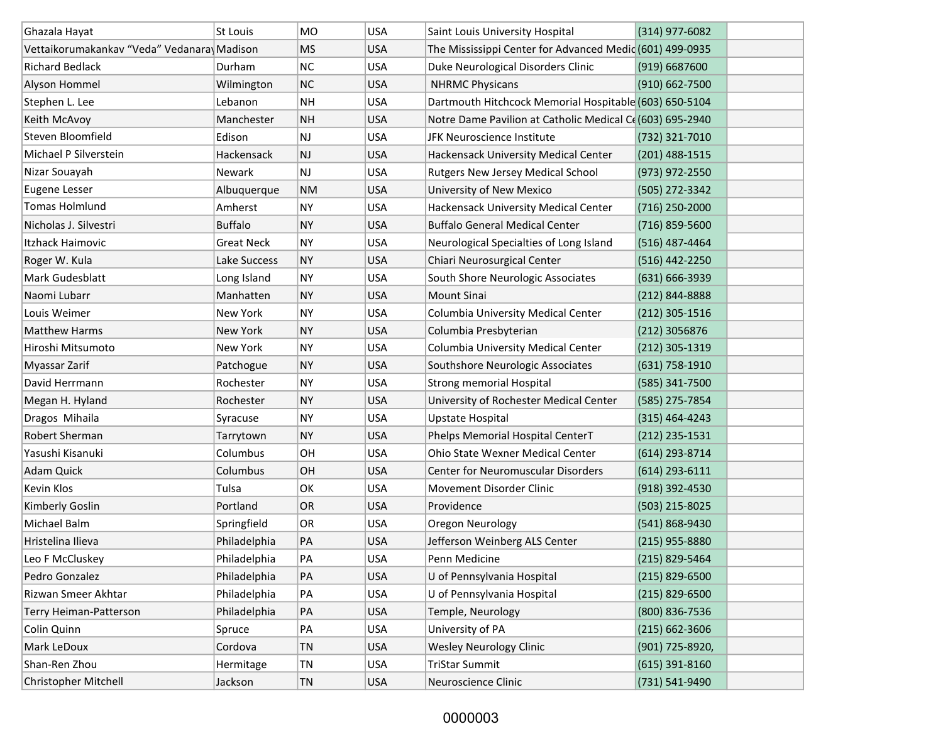| Ghazala Hayat                              | St Louis          | <b>MO</b> | <b>USA</b> | Saint Louis University Hospital                          | (314) 977-6082     |  |
|--------------------------------------------|-------------------|-----------|------------|----------------------------------------------------------|--------------------|--|
| Vettaikorumakankav "Veda" Vedanara Madison |                   | <b>MS</b> | <b>USA</b> | The Mississippi Center for Advanced Medic (601) 499-0935 |                    |  |
| <b>Richard Bedlack</b>                     | Durham            | NC        | <b>USA</b> | Duke Neurological Disorders Clinic                       | (919) 6687600      |  |
| Alyson Hommel                              | Wilmington        | <b>NC</b> | <b>USA</b> | <b>NHRMC Physicans</b>                                   | (910) 662-7500     |  |
| Stephen L. Lee                             | Lebanon           | <b>NH</b> | <b>USA</b> | Dartmouth Hitchcock Memorial Hospitable (603) 650-5104   |                    |  |
| Keith McAvoy                               | Manchester        | <b>NH</b> | <b>USA</b> | Notre Dame Pavilion at Catholic Medical C((603) 695-2940 |                    |  |
| Steven Bloomfield                          | Edison            | NJ        | <b>USA</b> | JFK Neuroscience Institute                               | (732) 321-7010     |  |
| Michael P Silverstein                      | Hackensack        | NJ        | <b>USA</b> | Hackensack University Medical Center                     | $(201)$ 488-1515   |  |
| Nizar Souayah                              | Newark            | NJ        | <b>USA</b> | Rutgers New Jersey Medical School                        | (973) 972-2550     |  |
| <b>Eugene Lesser</b>                       | Albuquerque       | <b>NM</b> | <b>USA</b> | University of New Mexico                                 | (505) 272-3342     |  |
| <b>Tomas Holmlund</b>                      | Amherst           | <b>NY</b> | <b>USA</b> | <b>Hackensack University Medical Center</b>              | $(716)$ 250-2000   |  |
| Nicholas J. Silvestri                      | <b>Buffalo</b>    | <b>NY</b> | <b>USA</b> | <b>Buffalo General Medical Center</b>                    | (716) 859-5600     |  |
| Itzhack Haimovic                           | <b>Great Neck</b> | <b>NY</b> | <b>USA</b> | Neurological Specialties of Long Island                  | (516) 487-4464     |  |
| Roger W. Kula                              | Lake Success      | <b>NY</b> | <b>USA</b> | Chiari Neurosurgical Center                              | (516) 442-2250     |  |
| Mark Gudesblatt                            | Long Island       | <b>NY</b> | <b>USA</b> | South Shore Neurologic Associates                        | (631) 666-3939     |  |
| Naomi Lubarr                               | Manhatten         | <b>NY</b> | <b>USA</b> | <b>Mount Sinai</b>                                       | (212) 844-8888     |  |
| Louis Weimer                               | New York          | <b>NY</b> | <b>USA</b> | Columbia University Medical Center                       | $(212)$ 305-1516   |  |
| <b>Matthew Harms</b>                       | New York          | <b>NY</b> | <b>USA</b> | Columbia Presbyterian                                    | (212) 3056876      |  |
| Hiroshi Mitsumoto                          | New York          | <b>NY</b> | <b>USA</b> | Columbia University Medical Center                       | (212) 305-1319     |  |
| Myassar Zarif                              | Patchogue         | <b>NY</b> | <b>USA</b> | Southshore Neurologic Associates                         | $(631)$ 758-1910   |  |
| David Herrmann                             | Rochester         | <b>NY</b> | <b>USA</b> | <b>Strong memorial Hospital</b>                          | (585) 341-7500     |  |
| Megan H. Hyland                            | Rochester         | <b>NY</b> | <b>USA</b> | University of Rochester Medical Center                   | (585) 275-7854     |  |
| Dragos Mihaila                             | Syracuse          | <b>NY</b> | <b>USA</b> | Upstate Hospital                                         | $(315)$ 464-4243   |  |
| Robert Sherman                             | Tarrytown         | <b>NY</b> | <b>USA</b> | Phelps Memorial Hospital CenterT                         | $(212)$ 235-1531   |  |
| Yasushi Kisanuki                           | Columbus          | OH        | <b>USA</b> | Ohio State Wexner Medical Center                         | (614) 293-8714     |  |
| Adam Quick                                 | Columbus          | OH        | <b>USA</b> | <b>Center for Neuromuscular Disorders</b>                | $(614)$ 293-6111   |  |
| Kevin Klos                                 | Tulsa             | OK        | <b>USA</b> | Movement Disorder Clinic                                 | (918) 392-4530     |  |
| Kimberly Goslin                            | Portland          | <b>OR</b> | <b>USA</b> | Providence                                               | (503) 215-8025     |  |
| Michael Balm                               | Springfield       | OR        | <b>USA</b> | Oregon Neurology                                         | (541) 868-9430     |  |
| Hristelina Ilieva                          | Philadelphia      | PA        | <b>USA</b> | Jefferson Weinberg ALS Center                            | (215) 955-8880     |  |
| Leo F McCluskey                            | Philadelphia      | PA        | <b>USA</b> | Penn Medicine                                            | (215) 829-5464     |  |
| Pedro Gonzalez                             | Philadelphia      | PA        | <b>USA</b> | U of Pennsylvania Hospital                               | $(215)$ 829-6500   |  |
| Rizwan Smeer Akhtar                        | Philadelphia      | PA        | <b>USA</b> | U of Pennsylvania Hospital                               | $(215)$ 829-6500   |  |
| Terry Heiman-Patterson                     | Philadelphia      | PA        | <b>USA</b> | Temple, Neurology                                        | (800) 836-7536     |  |
| Colin Quinn                                | Spruce            | PA        | <b>USA</b> | University of PA                                         | $(215) 662 - 3606$ |  |
| Mark LeDoux                                | Cordova           | TN        | <b>USA</b> | <b>Wesley Neurology Clinic</b>                           | (901) 725-8920,    |  |
| Shan-Ren Zhou                              | Hermitage         | TN        | <b>USA</b> | <b>TriStar Summit</b>                                    | $(615)$ 391-8160   |  |
| Christopher Mitchell                       | Jackson           | TN        | <b>USA</b> | Neuroscience Clinic                                      | (731) 541-9490     |  |

## 0000003